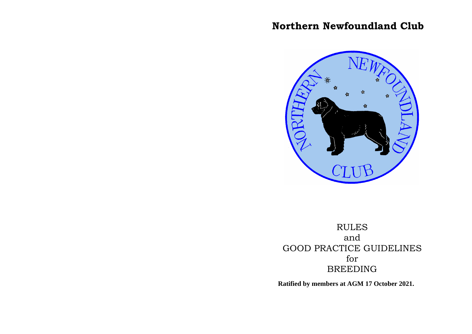# **Northern Newfoundland Club**



RULES and GOOD PRACTICE GUIDELINES for BREEDING

**Ratified by members at AGM 17 October 2021.**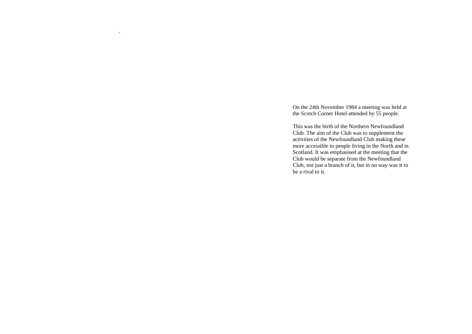On the 24th November 1984 a meeting was held at the Scotch Corner Hotel attended by 55 people.

*.*

This was the birth of the Northern Newfoundland Club. The aim of the Club was to supplement the activities of the Newfoundland Club making these more accessible to people living in the North and in Scotland. It was emphasised at the meeting that the Club would be separate from the Newfoundland Club, not just a branch of it, but in no way was it to be a rival to it.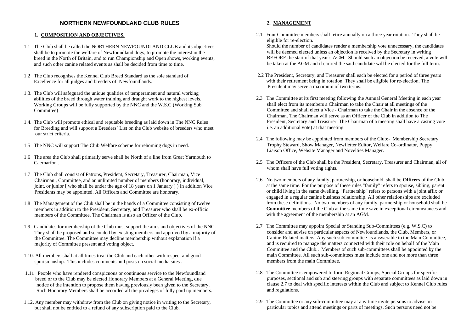## **NORTHERN NEWFOUNDLAND CLUB RULES**

#### **1. COMPOSITION AND OBJECTIVES.**

- 1.1 The Club shall be called the NORTHERN NEWFOUNDLAND CLUB and its objectives shall be to promote the welfare of Newfoundland dogs, to promote the interest in the breed in the North of Britain, and to run Championship and Open shows, working events, and such other canine related events as shall be decided from time to time.
- 1.2 The Club recognises the Kennel Club Breed Standard as the sole standard of Excellence for all judges and breeders of Newfoundlands.
- 1.3. The Club will safeguard the unique qualities of temperament and natural working abilities of the breed through water training and draught work to the highest levels. Working Groups will be fully supported by the NNC and the W.S.C (Working Sub Committee)
- 1.4. The Club will promote ethical and reputable breeding as laid down in The NNC Rules for Breeding and will support a Breeders' List on the Club website of breeders who meet our strict criteria.
- 1.5 The NNC will support The Club Welfare scheme for rehoming dogs in need.
- 1.6 The area the Club shall primarily serve shall be North of a line from Great Yarmouth to Caernarfon .
- 1.7 The Club shall consist of Patrons, President, Secretary, Treasurer, Chairman, Vice Chairman , Committee, and an unlimited number of members (honorary, individual, joint, or junior [ who shall be under the age of 18 years on 1 January ] ) In addition Vice Presidents may be appointed. All Officers and Committee are honorary.
- 1.8 The Management of the Club shall be in the hands of a Committee consisting of twelve members in addition to the President, Secretary, and Treasurer who shall be ex-officio members of the Committee. The Chairman is also an Officer of the Club.
- 1.9 Candidates for membership of the Club must support the aims and objectives of the NNC. They shall be proposed and seconded by existing members and approved by a majority of the Committee. The Committee may decline membership without explanation if a majority of Committee present and voting object.
- 1.10. All members shall at all times treat the Club and each other with respect and good sportsmanship. This includes comments and posts on social media sites .
- 1.11 People who have rendered conspicuous or continuous service to the Newfoundland breed or to the Club may be elected Honorary Members at a General Meeting, due notice of the intention to propose them having previously been given to the Secretary. Such Honorary Members shall be accorded all the privileges of fully paid up members.
- 1.12. Any member may withdraw from the Club on giving notice in writing to the Secretary, but shall not be entitled to a refund of any subscription paid to the Club.

### **2. MANAGEMENT**

2.1 Four Committee members shall retire annually on a three year rotation. They shall be eligible for re-election.

Should the number of candidates render a membership vote unnecessary, the candidates will be deemed elected unless an objection is received by the Secretary in writing BEFORE the start of that year`s AGM. Should such an objection be received, a vote will be taken at the AGM and if carried the said candidate will be elected for the full term.

- 2.2 The President, Secretary, and Treasurer shall each be elected for a period of three years with their retirement being in rotation. They shall be eligible for re-election. The President may serve a maximum of two terms.
- 2.3 The Committee at its first meeting following the Annual General Meeting in each year shall elect from its members a Chairman to take the Chair at all meetings of the Committee and shall elect a Vice - Chairman to take the Chair in the absence of the Chairman. The Chairman will serve as an Officer of the Club in addition to The President, Secretary and Treasurer. The Chairman of a meeting shall have a casting vote i.e. an additional vote) at that meeting.
- 2.4 The following may be appointed from members of the Club:- Membership Secretary, Trophy Steward, Show Manager, Newfletter Editor, Welfare Co-ordinator, Puppy Liaison Office, Website Manager and Novelties Manager.
- 2.5 The Officers of the Club shall be the President, Secretary, Treasurer and Chairman, all of whom shall have full voting rights.
- 2.6 No two members of any family, partnership, or household, shall be **Officers** of the Club at the same time. For the purpose of these rules "family" refers to spouse, sibling, parent or child living in the same dwelling. "Partnership" refers to persons with a joint affix or engaged in a regular canine business relationship. All other relationships are excluded from these definitions. No two members of any family, partnership or household shall be **Committee** members of the Club at the same time save in exceptional circumstances and with the agreement of the membership at an AGM.
- 2.7 The Committee may appoint Special or Standing Sub-Committees (e.g. W.S.C) to consider and advise on particular aspects of Newfoundlands, the Club, Members, or Canine-Related matters. Any such sub committee is answerable to the Main Committee, and is required to manage the matters connected with their role on behalf of the Main Committee and the Club.. Members of such sub-committees shall be appointed by the main Committee. All such sub-committees must include one and not more than three members from the main Committee.
- 2.8 The Committee is empowered to form Regional Groups, Special Groups for specific purposes, sectional and sub and steering groups with separate committees as laid down in clause 2.7 to deal with specific interests within the Club and subject to Kennel Club rules and regulations.
- 2.9 The Committee or any sub-committee may at any time invite persons to advise on particular topics and attend meetings or parts of meetings. Such persons need not be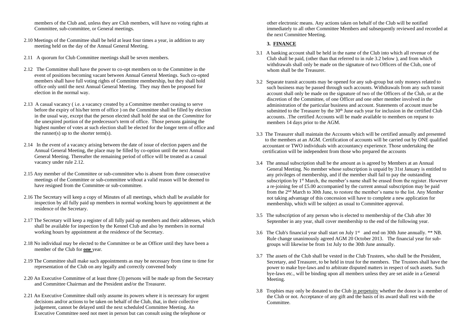members of the Club and, unless they are Club members, will have no voting rights at Committee, sub-committee, or General meetings.

- 2.10 Meetings of the Committee shall be held at least four times a year, in addition to any meeting held on the day of the Annual General Meeting.
- 2.11 A quorum for Club Committee meetings shall be seven members.
- 2.12 The Committee shall have the power to co-opt members on to the Committee in the event of positions becoming vacant between Annual General Meetings. Such co-opted members shall have full voting rights of Committee membership, but they shall hold office only until the next Annual General Meeting. They may then be proposed for election in the normal way.
- 2.13 A casual vacancy ( i.e. a vacancy created by a Committee member ceasing to serve before the expiry of his/her term of office ) on the Committee shall be filled by election in the usual way, except that the person elected shall hold the seat on the *Committee* for the unexpired portion of the predecessor's term of office. Those persons gaining the highest number of votes at such election shall be elected for the longer term of office and the runner(s) up to the shorter term(s).
- 2.14 In the event of a vacancy arising between the date of issue of election papers and the Annual General Meeting, the place may be filled by co-option until the next Annual General Meeting. Thereafter the remaining period of office will be treated as a casual vacancy under rule 2.12.
- 2.15 Any member of the Committee or sub-committee who is absent from three consecutive meetings of the Committee or sub-committee without a valid reason will be deemed to have resigned from the Committee or sub-committee.
- 2.16 The Secretary will keep a copy of Minutes of all meetings, which shall be available for inspection by all fully paid up members in normal working hours by appointment at the residence of the Secretary.
- 2.17 The Secretary will keep a register of all fully paid up members and their addresses, which shall be available for inspection by the Kennel Club and also by members in normal working hours by appointment at the residence of the Secretary.
- 2.18 No individual may be elected to the Committee or be an Officer until they have been a member of the Club for **one** year.
- 2.19 The Committee shall make such appointments as may be necessary from time to time for representation of the Club on any legally and correctly convened body
- 2.20 An Executive Committee of at least three (3) persons will be made up from the Secretary and Committee Chairman and the President and/or the Treasurer.
- 2.21 An Executive Committee shall only assume its powers where it is necessary for urgent decisions and/or actions to be taken on behalf of the Club, that, in their collective judgement, cannot be delayed until the next scheduled Committee Meeting. An Executive Committee need not meet in person but can consult using the telephone or

other electronic means. Any actions taken on behalf of the Club will be notified immediately to all other Committee Members and subsequently reviewed and recorded at the next Committee Meeting.

## **3. FINANCE**

- 3.1 A banking account shall be held in the name of the Club into which all revenue of the Club shall be paid, (other than that referred to in rule 3.2 below ), and from which withdrawals shall only be made on the signature of two Officers of the Club, one of whom shall be the Treasurer.
- 3.2 Separate transit accounts may be opened for any sub-group but only moneys related to such business may be passed through such accounts. Withdrawals from any such transit account shall only be made on the signature of two of the Officers of the Club, or at the discretion of the Committee, of one Officer and one other member involved in the administration of the particular business and account. Statements of account must be submitted to the Treasurer by the  $30<sup>th</sup>$  June each year for inclusion in the certified Club accounts. .The certified Accounts will be made available to members on request to members 14 days prior to the AGM.
- 3.3 The Treasurer shall maintain the Accounts which will be certified annually and presented to the members at an AGM. Certification of accounts will be carried out by ONE qualified accountant or TWO individuals with accountancy experience. Those undertaking the certification will be independent from those who prepared the accounts
- 3.4 The annual subscription shall be the amount as is agreed by Members at an Annual General Meeting. No member whose subscription is unpaid by 31st January is entitled to any privileges of membership, and if the member shall fail to pay the outstanding subscription by  $1<sup>st</sup>$  March, the member's name shall be erased from the register. However a re-joining fee of £5.00 accompanied by the current annual subscription may be paid from the 2nd March to 30th June, to restore the member's name to the list. Any Member not taking advantage of this concession will have to complete a new application for membership, which will be subject as usual to Committee approval.
- 3.5 The subscription of any person who is elected to membership of the Club after 30 September in any year, shall cover membership to the end of the following year.
- 3.6 The Club's financial year shall start on July  $1<sup>st</sup>$  and end on 30th June annually.  $**$  NB. Rule change unanimously agreed AGM 20 October 2013. The financial year for subgroups will likewise be from 1st July to the 30th June annually.
- 3.7 The assets of the Club shall be vested in the Club Trustees, who shall be the President, Secretary, and Treasurer, to be held in trust for the members. The Trustees shall have the power to make bye-laws and to arbitrate disputed matters in respect of such assets. Such bye-laws etc., will be binding upon all members unless they are set aside in a General Meeting.
- 3.8 Trophies may only be donated to the Club in perpetuity whether the donor is a member of the Club or not. Acceptance of any gift and the basis of its award shall rest with the Committee.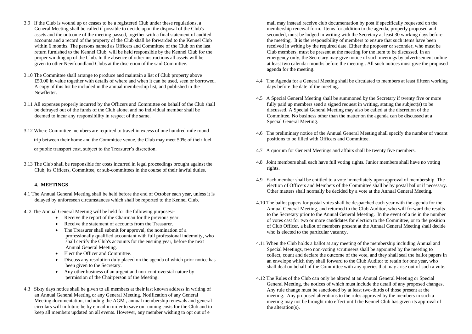- 3.9 If the Club is wound up or ceases to be a registered Club under these regulations, a General Meeting shall be called if possible to decide upon the disposal of the Club's assets and the outcome of the meeting passed, together with a final statement of audited accounts and a record of the property of the Club shall be forwarded to the Kennel Club within 6 months. The persons named as Officers and Committee of the Club on the last return furnished to the Kennel Club, will be held responsible by the Kennel Club for the proper winding up of the Club. In the absence of other instructions all assets will be given to other Newfoundland Clubs at the discretion of the said Committee.
- 3.10 The Committee shall arrange to produce and maintain a list of Club property above £50.00 in value together with details of where and when it can be used, seen or borrowed. A copy of this list be included in the annual membership list, and published in the Newfletter.
- 3.11 All expenses properly incurred by the Officers and Committee on behalf of the Club shall be defrayed out of the funds of the Club alone, and no individual member shall be deemed to incur any responsibility in respect of the same.
- 3.12 Where Committee members are required to travel in excess of one hundred mile round

trip between their home and the Committee venue, the Club may meet 50% of their fuel

or public transport cost, subject to the Treasurer's discretion.

3.13 The Club shall be responsible for costs incurred in legal proceedings brought against the Club, its Officers, Committee, or sub-committees in the course of their lawful duties.

#### **4. MEETINGS**

- 4.1 The Annual General Meeting shall be held before the end of October each year, unless it is delayed by unforeseen circumstances which shall be reported to the Kennel Club.
- 4. 2 The Annual General Meeting will be held for the following purposes:-
	- Receive the report of the Chairman for the previous year.
	- Receive the statement of accounts from the Treasurer.
	- The Treasurer shall submit for approval, the nomination of a professionally qualified accountant with full professional indemnity, who shall certify the Club's accounts for the ensuing year, before the next Annual General Meeting.
	- Elect the Officer and Committee.
	- Discuss any resolution duly placed on the agenda of which prior notice has been given to the Secretary.
	- Any other business of an urgent and non-controversial nature by permission of the Chairperson of the Meeting.
- 4.3 Sixty days notice shall be given to all members at their last known address in writing of an Annual General Meeting or any General Meeting. Notification of any General Meeting documentation, including the AGM , annual membership renewals and general circulars will in future be by e mail in order to save on running costs for the Club and to keep all members updated on all events. However, any member wishing to opt out of e

mail may instead receive club documentation by post if specifically requested on the membership renewal form. Items for addition to the agenda, properly proposed and seconded, must be lodged in writing with the Secretary at least 30 working days before the meeting. It is the responsibility of members to ensure that such items have been received in writing by the required date. Either the proposer or seconder, who must be Club members, must be present at the meeting for the item to be discussed. In an emergency only, the Secretary may give notice of such meetings by advertisement online at least two calendar months before the meeting . All such notices must give the proposed agenda for the meeting.

- 4.4 The Agenda for a General Meeting shall be circulated to members at least fifteen working days before the date of the meeting.
- 4.5 A Special General Meeting shall be summoned by the Secretary if twenty five or more fully paid up members send a signed request in writing, stating the subject(s) to be discussed. A Special General Meeting may also be called at the discretion of the Committee. No business other than the matter on the agenda can be discussed at a Special General Meeting.
- 4.6 The preliminary notice of the Annual General Meeting shall specify the number of vacant positions to be filled with Officers and Committee.
- 4.7 A quorum for General Meetings and affairs shall be twenty five members.
- 4.8 Joint members shall each have full voting rights. Junior members shall have no voting rights.
- 4.9 Each member shall be entitled to a vote immediately upon approval of membership. The election of Officers and Members of the Committee shall be by postal ballot if necessary. Other matters shall normally be decided by a vote at the Annual General Meeting.
- 4.10 The ballot papers for postal votes shall be despatched each year with the agenda for the Annual General Meeting, and returned to the Club Auditor, who will forward the results to the Secretary prior to the Annual General Meeting. In the event of a tie in the number of votes cast for two or more candidates for election to the Committee, or to the position of Club Officer, a ballot of members present at the Annual General Meeting shall decide who is elected to the particular vacancy.
- 4.11 When the Club holds a ballot at any meeting of the membership including Annual and Special Meetings, two non-voting scrutineers shall be appointed by the meeting to collect, count and declare the outcome of the vote, and they shall seal the ballot papers in an envelope which they shall forward to the Club Auditor to retain for one year, who shall deal on behalf of the Committee with any queries that may arise out of such a vote.
- 4.12 The Rules of the Club can only be altered at an Annual General Meeting or Special General Meeting, the notices of which must include the detail of any proposed changes. Any rule change must be sanctioned by at least two-thirds of those present at the meeting. Any proposed alterations to the rules approved by the members in such a meeting may not be brought into effect until the Kennel Club has given its approval of the alteration(s).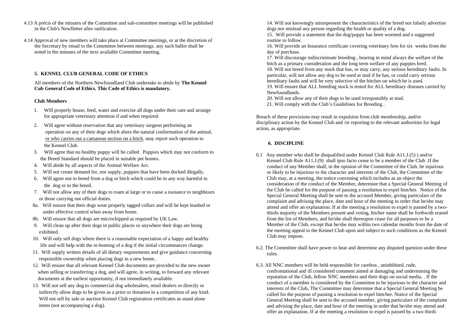- 4.13 A précis of the minutes of the Committee and sub-committee meetings will be published in the Club's Newfletter after ratification.
- 4.14 Approval of new members will take place at Committee meetings, or at the discretion of the Secretary by email to the Committee between meetings. any such ballot shall be noted in the minutes of the next available Committee meeting.

#### **5. KENNEL CLUB GENERAL CODE OF ETHICS**

All members of the Northern Newfoundland Club undertake to abide by **The Kennel Cub General Code of Ethics. This Code of Ethics is mandatory.** 

#### **Club Members**

- 1. Will properly house, feed, water and exercise all dogs under their care and arrange for appropriate veterinary attention if and when required.
- 2. Will agree without reservation that any veterinary surgeon performing an operation on any of their dogs which alters the natural conformation of the animal, or who carries out a caesarean section on a bitch, may report such operation to the Kennel Club.
- 3. Will agree that no healthy puppy will be culled. Puppies which may not conform to the Breed Standard should be placed in suitable pet homes.
- 4. Will abide by all aspects of the Animal Welfare Act.
- 5. Will not create demand for, nor supply, puppies that have been docked illegally.
- 6. Will agree not to breed from a dog or bitch which could be in any way harmful to the dog or to the breed.
- 7. Will not allow any of their dogs to roam at large or to cause a nuisance to neighbours or those carrying out official duties.
- 8a. Will ensure that their dogs wear properly tagged collars and will be kept leashed or under effective control when away from home.
- 8b. Will ensure that all dogs are microchipped as required by UK Law.
- 9. Will clean up after their dogs in public places or anywhere their dogs are being exhibited.
- 10. Will only sell dogs where there is a reasonable expectation of a happy and healthy life and will help with the re-homing of a dog if the initial circumstances change.
- 11. Will supply written details of all dietary requirements and give guidance concerning responsible ownership when placing dogs in a new home..
- 12. Will ensure that all relevant Kennel Club documents are provided to the new owner when selling or transferring a dog, and will agree, in writing, to forward any relevant documents at the earliest opportunity, if not immediately available.
- 13. Will not sell any dog to commercial dog wholesalers, retail dealers or directly or indirectly allow dogs to be given as a prize or donation in a competition of any kind. Will not sell by sale or auction Kennel Club registration certificates as stand alone items (not accompanying a dog).

14. Will not knowingly misrepresent the characteristics of the breed nor falsely advertise dogs nor mislead any person regarding the health or quality of a dog.

15. Will provide a statement that the dog/puppy has been wormed and a suggested routine to follow.

16. Will provide an Insurance certificate covering veterinary fees for six weeks from the day of purchase.

17. Will discourage indiscriminate breeding , bearing in mind always the welfare of the bitch as a primary consideration and the long term welfare of any puppies bred. 18. Will not breed from any stock that has, or may carry, any serious hereditary faults. In

particular, will not allow any dog to be used at stud if he has, or could carry serious hereditary faults and will be very selective of the bitches on which he is used.

19. Will ensure that ALL breeding stock is tested for ALL hereditary diseases carried by Newfoundlands.

20. Will not allow any of their dogs to be used irresponsibly at stud.

21. Will comply with the Club's Guidelines for Breeding .

Breach of these provisions may result in expulsion from club membership, and/or disciplinary action by the Kennel Club and /or reporting to the relevant authorities for legal action, as appropriate.

#### **6. DISCIPLINE**

- 6.1 Any member who shall be disqualified under Kennel Club Rule A11.J.(5) ) and/or Kennel Club Rule A11.J.(9) shall ipso facto cease to be a member of the Club .If the conduct of any Member shall, in the opinion of the Committee of the Club, be injurious or likely to be injurious to the character and interests of the Club, the Committee of the Club may, at a meeting, the notice convening which includes as an object the consideration of the conduct of the Member, determine that a Special General Meeting of the Club be called for the purpose of passing a resolution to expel him/her. Notice of the Special General Meeting shall be sent to the accused Member, giving particulars of the complaint and advising the place, date and hour of the meeting in order that he/she may attend and offer an explanation. If at the meeting a resolution to expel is passed by a twothirds majority of the Members present and voting, his/her name shall be forthwith erased from the list of Members, and he/she shall thereupon cease for all purposes to be a Member of the Club, except that he/she may within two calendar months from the date of the meeting appeal to the Kennel Club upon and subject to such conditions as the Kennel Club may impose.
- 6.2. The Committee shall have power to hear and determine any disputed question under these rules.
- 6.3. All NNC members will be held responsible for careless , uninhibited, rude, confrontational and ill considered comment aimed at damaging and undermining the reputation of the Club, fellow NNC members and their dogs on social media. . If the conduct of a member is considered by the Committee to be injurious to the character and interests of the Club, The Committee may determine that a Special General Meeting be called for the purpose of passing a resolution to expel him/her. Notice of the Special General Meeting shall be sent to the accused member, giving particulars of the complaint and advising the place, date and hour of the meeting in order that he/she may attend and offer an explanation. If at the meeting a resolution to expel is passed by a two thirds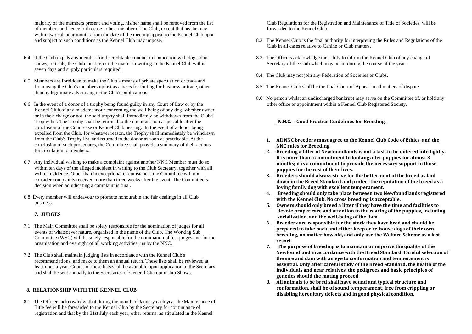majority of the members present and voting, his/her name shall be removed from the list of members and henceforth cease to be a member of the Club, except that he/she may within two calendar months from the date of the meeting appeal to the Kennel Club upon and subject to such conditions as the Kennel Club may impose.

- 6.4 If the Club expels any member for discreditable conduct in connection with dogs, dog shows, or trials, the Club must report the matter in writing to the Kennel Club within seven days and supply particulars required.
- 6.5 Members are forbidden to make the Club a means of private speculation or trade and from using the Club's membership list as a basis for touting for business or trade, other than by legitimate advertising in the Club's publications.
- 6.6 In the event of a donor of a trophy being found guilty in any Court of Law or by the Kennel Club of any misdemeanour concerning the well-being of any dog, whether owned or in their charge or not, the said trophy shall immediately be withdrawn from the Club's Trophy list. The Trophy shall be returned to the donor as soon as possible after the conclusion of the Court case or Kennel Club hearing. In the event of a donor being expelled from the Club, for whatever reason, the Trophy shall immediately be withdrawn from the Club's Trophy list, and returned to the donor as soon as practicable. At the conclusion of such procedures, the Committee shall provide a summary of their actions for circulation to members.
- 6.7. Any individual wishing to make a complaint against another NNC Member must do so within ten days of the alleged incident in writing to the Club Secretary, together with all written evidence. Other than in exceptional circumstances the Committee will not consider complaints received more than three weeks after the event. The Committee's decision when adjudicating a complaint is final.
- 6.8. Every member will endeavour to promote honourable and fair dealings in all Club business.

#### **7. JUDGES**

- 7.1 The Main Committee shall be solely responsible for the nomination of judges for all events of whatsoever nature, organised in the name of the Club. The Working Sub Committee (WSC) will be solely responsible for the nomination of test judges and for the organisation and oversight of all working activities run by the NNC.
- 7.2 The Club shall maintain judging lists in accordance with the Kennel Club's recommendations, and make to them an annual return. These lists shall be reviewed at least once a year. Copies of these lists shall be available upon application to the Secretary and shall be sent annually to the Secretaries of General Championship Shows.

## **8. RELATIONSHIP WITH THE KENNEL CLUB**

8.1 The Officers acknowledge that during the month of January each year the Maintenance of Title fee will be forwarded to the Kennel Club by the Secretary for continuance of registration and that by the 31st July each year, other returns, as stipulated in the Kennel

Club Regulations for the Registration and Maintenance of Title of Societies, will be forwarded to the Kennel Club.

- 8.2 The Kennel Club is the final authority for interpreting the Rules and Regulations of the Club in all cases relative to Canine or Club matters.
- 8.3 The Officers acknowledge their duty to inform the Kennel Club of any change of Secretary of the Club which may occur during the course of the year.
- 8.4 The Club may not join any Federation of Societies or Clubs.
- 8.5 The Kennel Club shall be the final Court of Appeal in all matters of dispute.
- 8.6 No person whilst an undischarged bankrupt may serve on the Committee of, or hold any other office or appointment within a Kennel Club Registered Society.

## **N.N.C. - Good Practice Guidelines for Breeding.**

- 1. **All NNC breeders must agree to the Kennel Club Code of Ethics and the NNC rules for Breeding**.
- **2. Breeding a litter of Newfoundlands is not a task to be entered into lightly. It is more than a commitment to looking after puppies for almost 3 months; it is a commitment to provide the necessary support to those puppies for the rest of their lives.**
- **3. Breeders should always strive for the betterment of the breed as laid down in the Breed Standard and protect the reputation of the breed as a loving family dog with excellent temperament.**
- **4. Breeding should only take place between two Newfoundlands registered with the Kennel Club. No cross breeding is acceptable.**
- **5. Owners should only breed a litter if they have the time and facilities to devote proper care and attention to the rearing of the puppies, including socialisation, and the well-being of the dam.**
- **6. Breeders are responsible for the stock they have bred and should be prepared to take back and either keep or re-house dogs of their own breeding, no matter how old, and only use the Welfare Scheme as a last resort.**
- **7. The purpose of breeding is to maintain or improve the quality of the Newfoundland in accordance with the Breed Standard. Careful selection of the sire and dam with an eye to conformation and temperament is essential***.* **Only after careful study of the Breed Standard, the health of the individuals and near relatives, the pedigrees and basic principles of genetics should the mating proceed.**
- **8. All animals to be bred shall have sound and typical structure and conformation, shall be of sound temperament, free from crippling or disabling hereditary defects and in good physical condition.**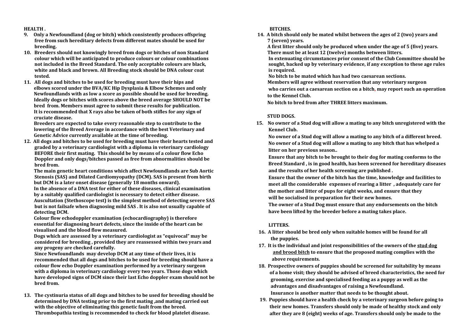**HEALTH .**

- **9. Only a Newfoundland (dog or bitch) which consistently produces offspring free from such hereditary defects from different mates should be used for breeding.**
- **10. Breeders should not knowingly breed from dogs or bitches of non Standard colour which will be anticipated to produce colours or colour combinations not included in the Breed Standard. The only acceptable colours are black, white and black and brown. All Breeding stock should be DNA colour coat tested.**
- **11. All dogs and bitches to be used for breeding must have their hips and elbows scored under the BVA/KC Hip Dysplasia & Elbow Schemes and only Newfoundlands with as low a score as possible should be used for breeding. Ideally dogs or bitches with scores above the breed average SHOULD NOT be bred from. Members must agree to submit these results for publication. It is recommended that X rays also be taken of both stifles for any sign of cruciate disease.**

 **Breeders are expected to take every reasonable step to contribute to the lowering of the Breed Average in accordance with the best Veterinary and Genetic Advice currently available at the time of breeding.**

**12. All dogs and bitches to be used for breeding must have their hearts tested and graded by a veterinary cardiologist with a diploma in veterinary cardiology BEFORE their first mating. This should be by means of a colour flow Echo Doppler and only dogs/bitches passed as free from abnormalities should be bred from.** 

 **The main genetic heart conditions which affect Newfoundlands are Sub Aortic Stenosis (SAS) and Dilated Cardiomyopathy (DCM). SAS is present from birth but DCM is a later onset disease (generally 18 months onward). In the absence of a DNA test for either of these diseases, clinical examination by a suitably qualified cardiologist is necessary to detect either disease.** 

 **Auscultation (Stethoscope test) is the simplest method of detecting severe SAS but is not failsafe when diagnosing mild SAS . It is also not usually capable of detecting DCM.** 

 **Colour flow echodoppler examination (echocardiography) is therefore essential for diagnosing heart defects, since the inside of the heart can be visualised and the blood flow measured.** 

 **Dogs which are assessed by a veterinary cardiologist as "equivocal" may be considered for breeding , provided they are reassessed within two years and any progeny are checked carefully.** 

**Since Newfoundlands may develop DCM at any time of their lives, it is recommended that all dogs and bitches to be used for breeding should have a colour flow echo Doppler examination performed by a veterinary surgeon with a diploma in veterinary cardiology every two years. Those dogs which have developed signs of DCM since their last Echo doppler exam should not be bred from.** 

**13. The cystinuria status of all dogs and bitches to be used for breeding should be determined by DNA testing prior to the first mating ,and mating carried out with the objective of eliminating this genetic fault from the breed. Thrombopathia testing is recommended to check for blood platelet disease.**

 **BITCHES.** 

**14. A bitch should only be mated whilst between the ages of 2 (two) years and 7 (seven) years.** 

 **A first litter should only be produced when under the age of 5 (five) years. There must be at least 12 (twelve) months between litters.**

 **In extenuating circumstances prior consent of the Club Committee should be sought, backed up by veterinary evidence, if any exception to these age rules is required.** 

 **No bitch to be mated which has had two caesarean sections.**

**Members will agree without reservation that any veterinary surgeon** 

 **who carries out a caesarean section on a bitch, may report such an operation to the Kennel Club.**

 **No bitch to bred from after THREE litters maximum.**

# **STUD DOGS.**

**15. No owner of a Stud dog will allow a mating to any bitch unregistered with the Kennel Club.**

 **No owner of a Stud dog will allow a mating to any bitch of a different breed. No owner of a Stud dog will allow a mating to any bitch that has whelped a litter on her previous season..**

 **Ensure that any bitch to be brought to their dog for mating conforms to the Breed Standard , is in good health, has been screened for hereditary diseases and the results of her health screening are published .**

 **Ensure that the owner of the bitch has the time, knowledge and facilities to meet all the considerable expenses of rearing a litter , adequately care for the mother and litter of pups for eight weeks, and ensure that they will be socialised in preparation for their new homes.**

 **The owner of a Stud Dog must ensure that any endorsements on the bitch have been lifted by the breeder before a mating takes place.** 

# **LITTERS.**

- **16. A litter should be bred only when suitable homes will be found for all the puppies.**
- **17. It is the individual and joint responsibilities of the owners of the stud dog and brood bitch to ensure that the proposed mating complies with the above requirements.**
- **18. Prospective owners of puppies should be screened for suitability by means of a home visit; they should be advised of breed characteristics, the need for grooming, exercise and specialised feeding as a puppy as well as the advantages and disadvantages of raising a Newfoundland. Insurance is another matter that needs to be thought about.**
- **19. Puppies should have a health check by a veterinary surgeon before going to their new homes. Transfers should only be made of healthy stock and only after they are 8 (eight) weeks of age. Transfers should only be made to the**